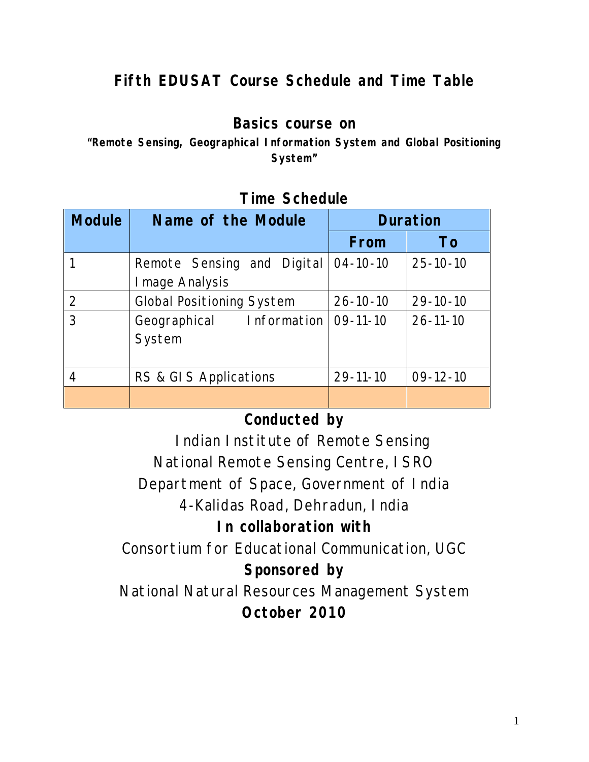# **Fifth EDUSAT Course Schedule and Time Table**

### **Basics course on**

**"Remote Sensing, Geographical Information System and Global Positioning System"**

| <b>Module</b> | Name of the Module                            | <b>Duration</b> |                |
|---------------|-----------------------------------------------|-----------------|----------------|
|               |                                               | From            | To             |
|               | Remote Sensing and Digital<br>I mage Analysis | $04 - 10 - 10$  | $25 - 10 - 10$ |
| 2             | <b>Global Positioning System</b>              | $26 - 10 - 10$  | $29 - 10 - 10$ |
| 3             | Information<br>Geographical<br>System         | $09-11-10$      | $26 - 11 - 10$ |
| 4             | RS & GIS Applications                         | $29 - 11 - 10$  | $09-12-10$     |
|               |                                               |                 |                |

#### **Time Schedule**

# **Conducted by**

 Indian Institute of Remote Sensing National Remote Sensing Centre, ISRO Department of Space, Government of India 4-Kalidas Road, Dehradun, India

## **In collaboration with**

Consortium for Educational Communication, UGC

# **Sponsored by**

National Natural Resources Management System **October 2010**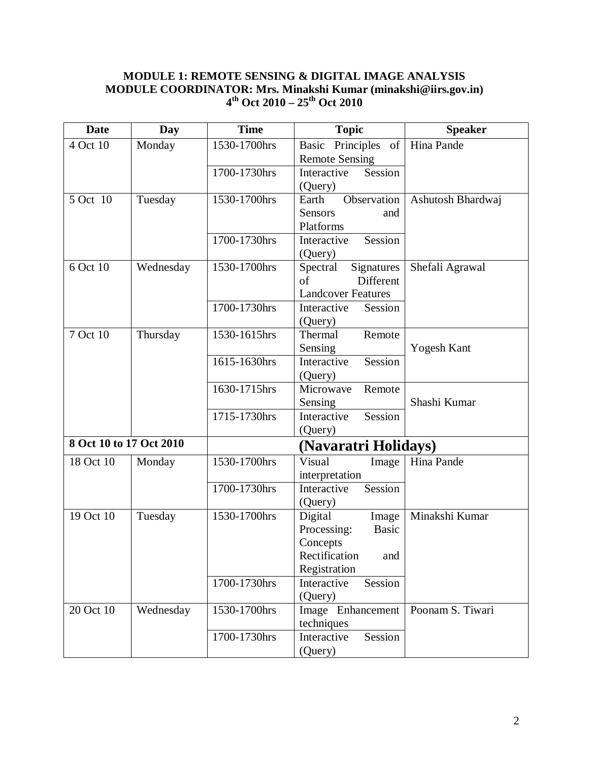#### **MODULE 1: REMOTE SENSING & DIGITAL IMAGE ANALYSIS MODULE COORDINATOR: Mrs. Minakshi Kumar (minakshi@iirs.gov.in) 4 th Oct 2010 – 25th Oct 2010**

| <b>Date</b>             | Day       | <b>Time</b>          | <b>Topic</b>                | <b>Speaker</b>     |
|-------------------------|-----------|----------------------|-----------------------------|--------------------|
| 4 Oct 10                | Monday    | 1530-1700hrs         | Principles of<br>Basic      | Hina Pande         |
|                         |           |                      | <b>Remote Sensing</b>       |                    |
|                         |           | 1700-1730hrs         | Session<br>Interactive      |                    |
|                         |           |                      | (Query)                     |                    |
| 5 Oct 10                | Tuesday   | 1530-1700hrs         | Observation<br>Earth        | Ashutosh Bhardwaj  |
|                         |           |                      | <b>Sensors</b><br>and       |                    |
|                         |           |                      | Platforms                   |                    |
|                         |           | 1700-1730hrs         | Session<br>Interactive      |                    |
|                         |           |                      | (Query)                     |                    |
| $6$ Oct $10$            | Wednesday | 1530-1700hrs         | Signatures<br>Spectral      | Shefali Agrawal    |
|                         |           |                      | Different<br>of             |                    |
|                         |           |                      | <b>Landcover Features</b>   |                    |
|                         |           | 1700-1730hrs         | Interactive<br>Session      |                    |
|                         |           |                      | (Query)                     |                    |
| 7 Oct 10                | Thursday  | 1530-1615hrs         | Thermal<br>Remote           |                    |
|                         |           |                      | Sensing                     | <b>Yogesh Kant</b> |
|                         |           | 1615-1630hrs         | Interactive<br>Session      |                    |
|                         |           |                      | (Query)                     |                    |
|                         |           | 1630-1715hrs         | Microwave<br>Remote         |                    |
|                         |           |                      | Sensing                     | Shashi Kumar       |
|                         |           | 1715-1730hrs         | Session<br>Interactive      |                    |
|                         |           |                      | (Query)                     |                    |
| 8 Oct 10 to 17 Oct 2010 |           | (Navaratri Holidays) |                             |                    |
| 18 Oct 10               | Monday    | 1530-1700hrs         | Visual<br>Image             | Hina Pande         |
|                         |           |                      | interpretation              |                    |
|                         |           | 1700-1730hrs         | Interactive<br>Session      |                    |
|                         |           |                      | (Query)                     |                    |
| 19 Oct 10               | Tuesday   | 1530-1700hrs         | Digital<br>Image            | Minakshi Kumar     |
|                         |           |                      | Processing:<br><b>Basic</b> |                    |
|                         |           |                      | Concepts                    |                    |
|                         |           |                      | Rectification<br>and        |                    |
|                         |           |                      | Registration                |                    |
|                         |           | 1700-1730hrs         | Session<br>Interactive      |                    |
|                         |           |                      | (Query)                     |                    |
| 20 Oct 10               | Wednesday | 1530-1700hrs         | Image Enhancement           | Poonam S. Tiwari   |
|                         |           |                      | techniques                  |                    |
|                         |           | 1700-1730hrs         | Interactive<br>Session      |                    |
|                         |           |                      | (Query)                     |                    |